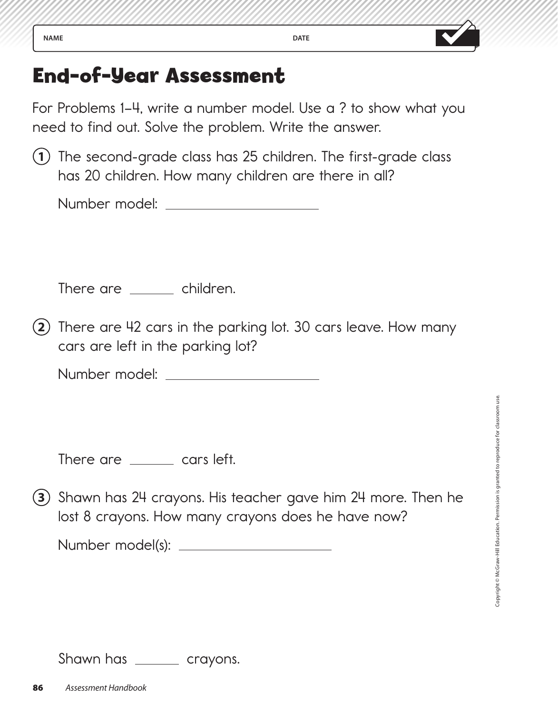For Problems 1–4, write a number model. Use a ? to show what you need to find out. Solve the problem. Write the answer.

**1** The second-grade class has 25 children. The first-grade class has 20 children. How many children are there in all?

Number model:

There are \_\_\_\_\_\_ children.

**2** There are 42 cars in the parking lot. 30 cars leave. How many cars are left in the parking lot?

Number model:

There are <u>equal</u> cars left.

**3** Shawn has 24 crayons. His teacher gave him 24 more. Then he lost 8 crayons. How many crayons does he have now?

Number model(s):

Shawn has <u>equal</u> crayons.

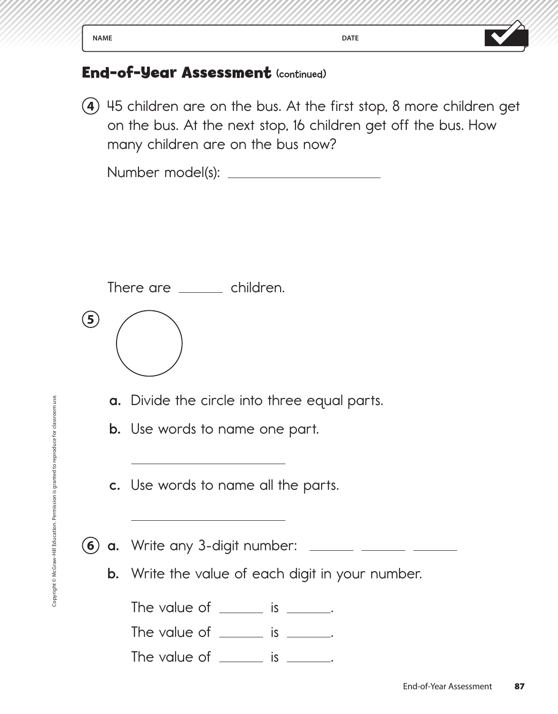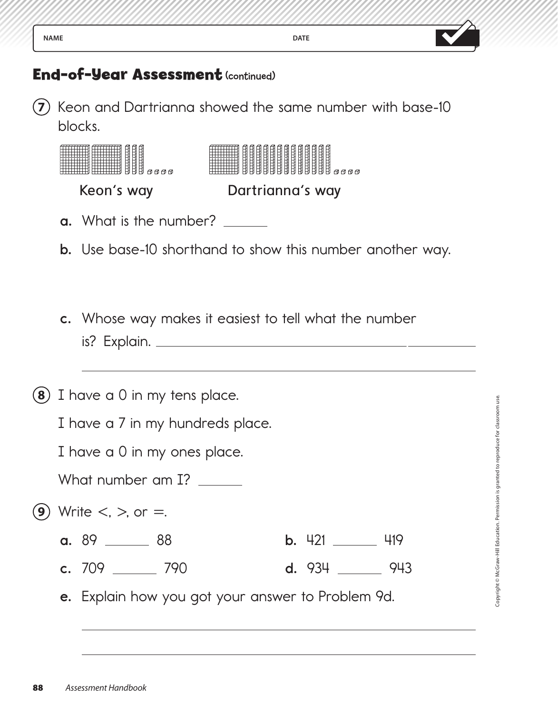

**7** Keon and Dartrianna showed the same number with base-10 blocks.

|     |                                  | Keon's way                                                       |  | Dartrianna's way      |     |
|-----|----------------------------------|------------------------------------------------------------------|--|-----------------------|-----|
|     |                                  | <b>a.</b> What is the number? ______                             |  |                       |     |
|     |                                  | <b>b.</b> Use base-10 shorthand to show this number another way. |  |                       |     |
|     |                                  |                                                                  |  |                       |     |
|     |                                  | c. Whose way makes it easiest to tell what the number            |  |                       |     |
|     |                                  |                                                                  |  |                       |     |
| (8) |                                  | I have a 0 in my tens place.                                     |  |                       |     |
|     | I have a 7 in my hundreds place. |                                                                  |  |                       |     |
|     | I have a 0 in my ones place.     |                                                                  |  |                       |     |
|     | What number am I? ______         |                                                                  |  |                       |     |
| 9   |                                  | Write $\lt$ , $\gt$ , or $=$ .                                   |  |                       |     |
|     |                                  | a. 89<br>88                                                      |  | <b>b.</b> 421         | 419 |
|     |                                  | c. $709$ 790                                                     |  | $d. 934 \_\_\_\_ 943$ |     |
|     |                                  | e. Explain how you got your answer to Problem 9d.                |  |                       |     |
|     |                                  |                                                                  |  |                       |     |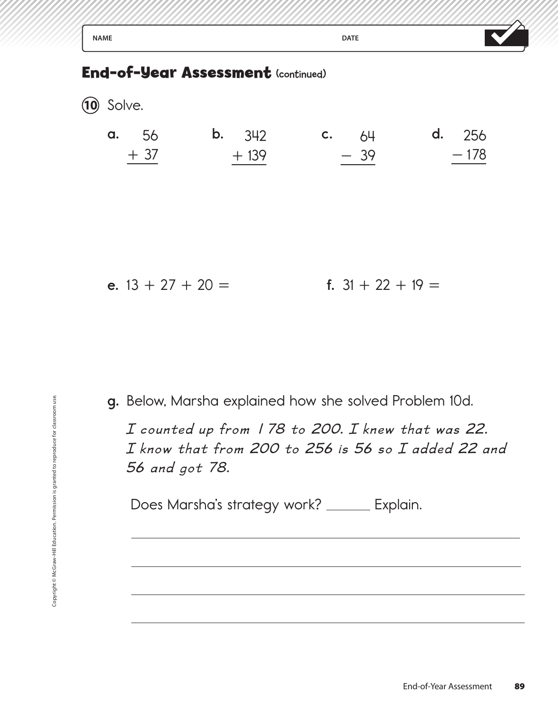| <b>NAME</b>         |                                    | <b>DATE</b>         |                         |
|---------------------|------------------------------------|---------------------|-------------------------|
|                     | End-of-Year Assessment (continued) |                     |                         |
| $(10)$ Solve.       |                                    |                     |                         |
| 56<br>a.<br>$+37$   | <b>b.</b> $342$<br>$+139$          | c. 64<br>$-39$      | <b>d.</b> 256<br>$-178$ |
| e. $13 + 27 + 20 =$ |                                    | f. $31 + 22 + 19 =$ |                         |

**g.** Below, Marsha explained how she solved Problem 10d.

 *I counted up from 1 78 to 200. I knew that was 22. I know that from 200 to 256 is 56 so I added 22 and 56 and got 78.* **g.** Below, Marsha<br> *I* counted up<br> *I* know that f<br>
56 and got 7d<br>
Does Marsha's<br>
serious interaction.<br>
Does Marsha's

Does Marsha's strategy work? \_\_\_\_\_ Explain.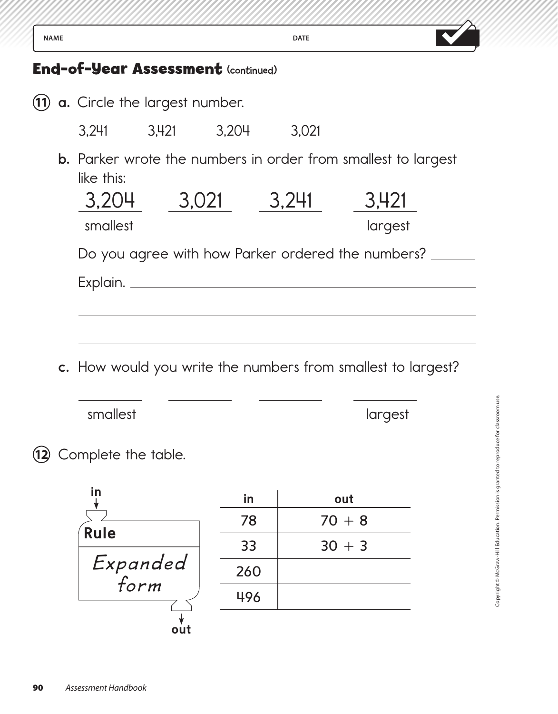| <b>NAME</b> |                                                              |                   |    | <b>DATE</b> |                                                                      |  |
|-------------|--------------------------------------------------------------|-------------------|----|-------------|----------------------------------------------------------------------|--|
|             | <b>End-of-Year Assessment (continued)</b>                    |                   |    |             |                                                                      |  |
|             | (11) a. Circle the largest number.                           |                   |    |             |                                                                      |  |
|             |                                                              | 3,241 3,421 3,204 |    | 3,021       |                                                                      |  |
|             | like this:                                                   |                   |    |             | <b>b.</b> Parker wrote the numbers in order from smallest to largest |  |
|             |                                                              | 3,204 3,021 3,241 |    |             | 3,421                                                                |  |
|             | smallest                                                     |                   |    |             | largest                                                              |  |
|             |                                                              |                   |    |             | Do you agree with how Parker ordered the numbers? _                  |  |
|             |                                                              |                   |    |             |                                                                      |  |
|             |                                                              |                   |    |             |                                                                      |  |
|             |                                                              |                   |    |             |                                                                      |  |
|             | c. How would you write the numbers from smallest to largest? |                   |    |             |                                                                      |  |
|             | smallest                                                     |                   |    |             | largest                                                              |  |
|             | Complete the table.                                          |                   |    |             |                                                                      |  |
|             | <u>in</u>                                                    |                   | in |             | out                                                                  |  |
|             | <b>Rule</b>                                                  |                   | 78 |             | $70 + 8$                                                             |  |
|             |                                                              |                   |    |             |                                                                      |  |

33  $30 + 3$ 

260

496

 $\lambda$ 

**out**

 *Expanded* 

*form*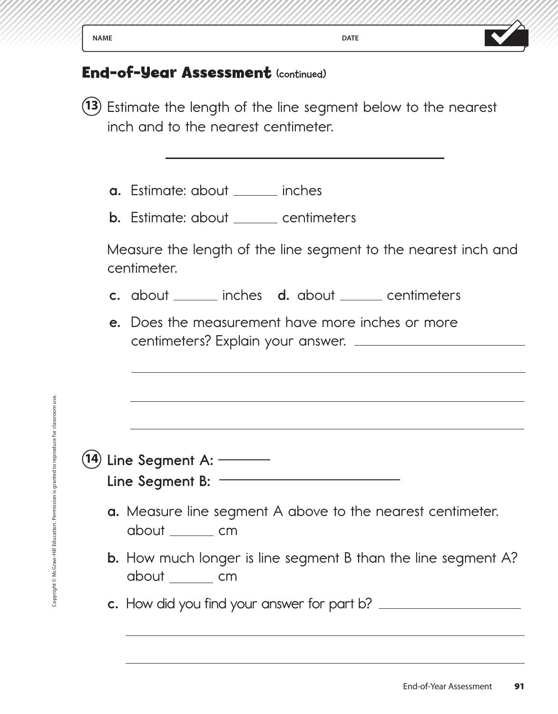| <b>NAME</b>                          | <b>DATE</b> |  |
|--------------------------------------|-------------|--|
| $\mathbf{r}$ and $\mathbf{r}$<br>. . | $\sim$      |  |

**13** Estimate the length of the line segment below to the nearest inch and to the nearest centimeter.

**a.** Estimate: about <u>inches</u>

**b.** Estimate: about <u>centimeters</u>

 Measure the length of the line segment to the nearest inch and centimeter.

- **c.** about \_\_\_\_\_\_ inches **d.** about \_\_\_\_\_ centimeters
- **e.** Does the measurement have more inches or more centimeters? Explain your answer.

| Copyright © McGraw-Hill Education. Permission is granted to reproduce for classroom use.<br>Line Segment A: ------<br>14)<br>Line Segment B: $-$<br><b>a.</b> Measure line segment A above to the neare<br>about ______ cm<br><b>b.</b> How much longer is line segment B than the<br>about cm<br>c. How did you find your answer for part b? ____ |    |
|----------------------------------------------------------------------------------------------------------------------------------------------------------------------------------------------------------------------------------------------------------------------------------------------------------------------------------------------------|----|
|                                                                                                                                                                                                                                                                                                                                                    |    |
|                                                                                                                                                                                                                                                                                                                                                    |    |
|                                                                                                                                                                                                                                                                                                                                                    |    |
|                                                                                                                                                                                                                                                                                                                                                    |    |
|                                                                                                                                                                                                                                                                                                                                                    |    |
|                                                                                                                                                                                                                                                                                                                                                    | Er |

- **a.** Measure line segment A above to the nearest centimeter. about cm
- **b.** How much longer is line segment B than the line segment A? about cm
- **c.** How did you find your answer for part b?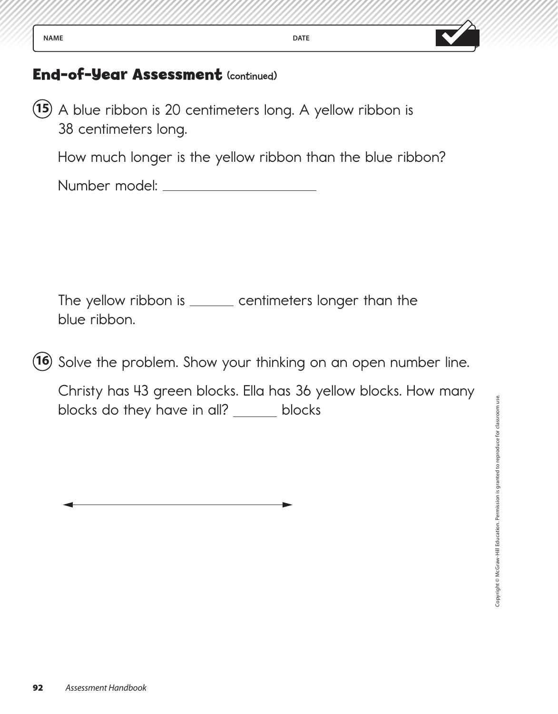| <b>DATE</b><br>۱M۱<br>OА<br>$\overline{\phantom{a}}$<br>----<br><br>the property of the control of the con- |  |
|-------------------------------------------------------------------------------------------------------------|--|
|-------------------------------------------------------------------------------------------------------------|--|

**15** A blue ribbon is 20 centimeters long. A yellow ribbon is 38 centimeters long.

How much longer is the yellow ribbon than the blue ribbon?

Number model:

The yellow ribbon is \_\_\_\_\_\_ centimeters longer than the blue ribbon.

**16** Solve the problem. Show your thinking on an open number line.

 Christy has 43 green blocks. Ella has 36 yellow blocks. How many blocks do they have in all? \_\_\_\_\_\_ blocks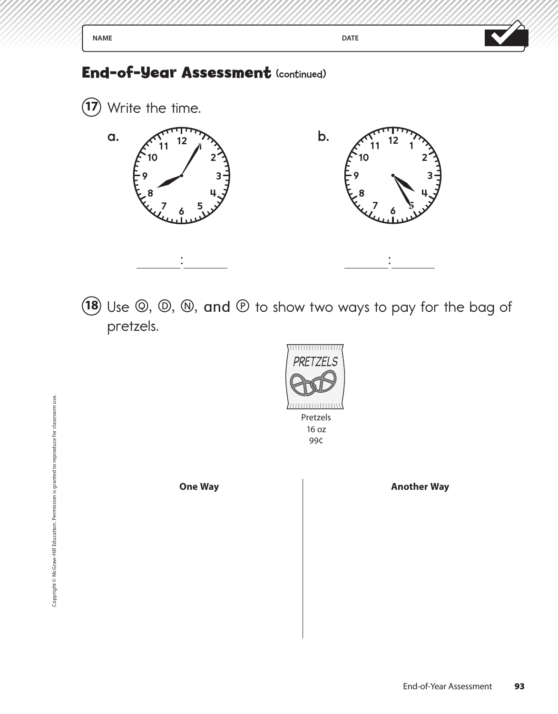

18 Use  $\circledcirc$ ,  $\circledcirc$ ,  $\circledcirc$ , and  $\circledcirc$  to show two ways to pay for the bag of pretzels.



**One Way Another Way**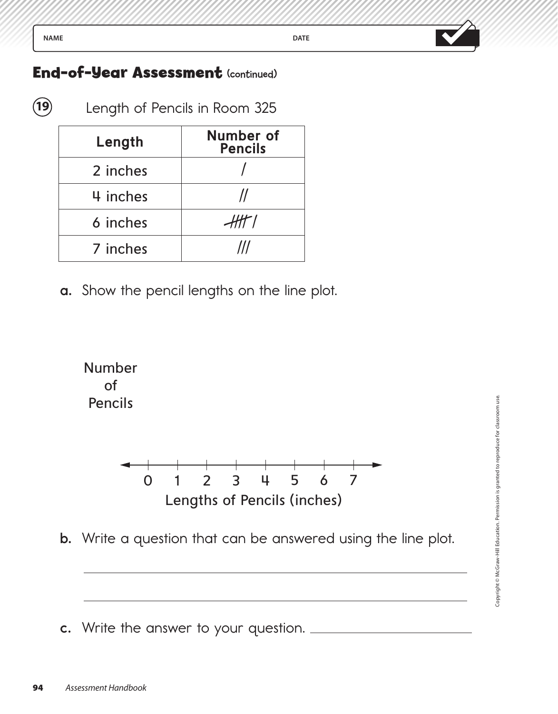**19** Length of Pencils in Room 325

| Length   | <b>Number of</b><br><b>Pencils</b> |
|----------|------------------------------------|
| 2 inches |                                    |
| 4 inches |                                    |
| 6 inches | 'HT                                |
| 7 inches |                                    |

**a.** Show the pencil lengths on the line plot.



**b.** Write a question that can be answered using the line plot.

**c.** Write the answer to your question.

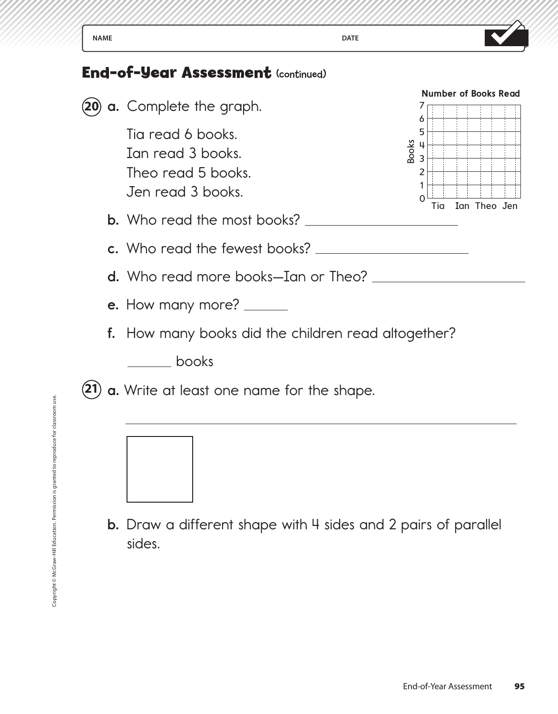

**b.** Draw a different shape with 4 sides and 2 pairs of parallel sides.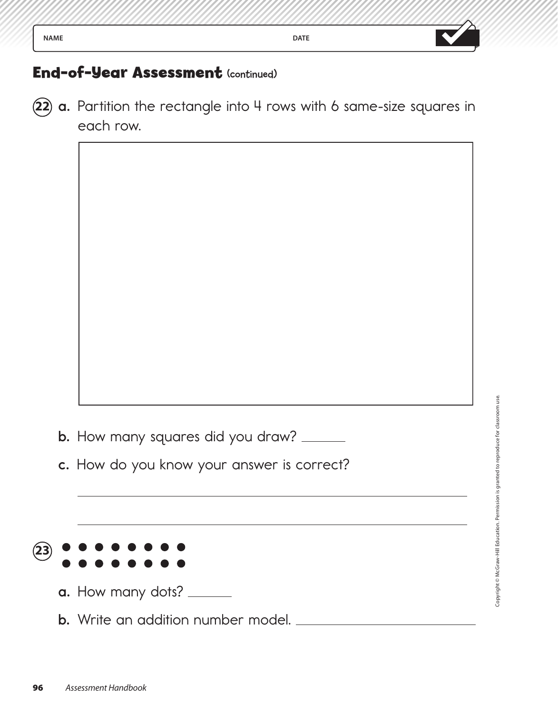

**22 a.** Partition the rectangle into 4 rows with 6 same-size squares in each row.

- **b.** How many squares did you draw? \_\_\_\_\_\_
- **c.** How do you know your answer is correct?



- **a.** How many dots?
- **b.** Write an addition number model.